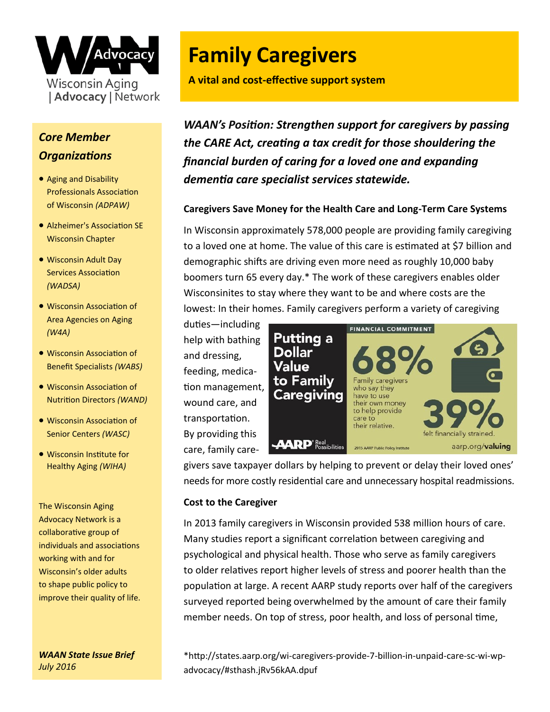

# *Core Member Organizations*

- Aging and Disability Professionals Association of Wisconsin *(ADPAW)*
- Alzheimer's Association SE Wisconsin Chapter
- Wisconsin Adult Day Services Association *(WADSA)*
- Wisconsin Association of Area Agencies on Aging *(W4A)*
- Wisconsin Association of Benefit Specialists *(WABS)*
- Wisconsin Association of Nutrition Directors *(WAND)*
- Wisconsin Association of Senior Centers *(WASC)*
- Wisconsin Institute for Healthy Aging *(WIHA)*

The Wisconsin Aging Advocacy Network is a collaborative group of individuals and associations working with and for Wisconsin's older adults to shape public policy to improve their quality of life.

*WAAN State Issue Brief July 2016* 

# **Family Caregivers**

**A vital and cost-effective support system**

*WAAN's Position: Strengthen support for caregivers by passing the CARE Act, creating a tax credit for those shouldering the financial burden of caring for a loved one and expanding dementia care specialist services statewide.* 

# **Caregivers Save Money for the Health Care and Long-Term Care Systems**

In Wisconsin approximately 578,000 people are providing family caregiving to a loved one at home. The value of this care is estimated at \$7 billion and demographic shifts are driving even more need as roughly 10,000 baby boomers turn 65 every day.\* The work of these caregivers enables older Wisconsinites to stay where they want to be and where costs are the lowest: In their homes. Family caregivers perform a variety of caregiving

duties—including help with bathing and dressing, feeding, medication management, wound care, and transportation. By providing this care, family care-



givers save taxpayer dollars by helping to prevent or delay their loved ones' needs for more costly residential care and unnecessary hospital readmissions.

# **Cost to the Caregiver**

In 2013 family caregivers in Wisconsin provided 538 million hours of care. Many studies report a significant correlation between caregiving and psychological and physical health. Those who serve as family caregivers to older relatives report higher levels of stress and poorer health than the population at large. A recent AARP study reports over half of the caregivers surveyed reported being overwhelmed by the amount of care their family member needs. On top of stress, poor health, and loss of personal time,

\*http://states.aarp.org/wi-caregivers-provide-7-billion-in-unpaid-care-sc-wi-wpadvocacy/#sthash.jRv56kAA.dpuf